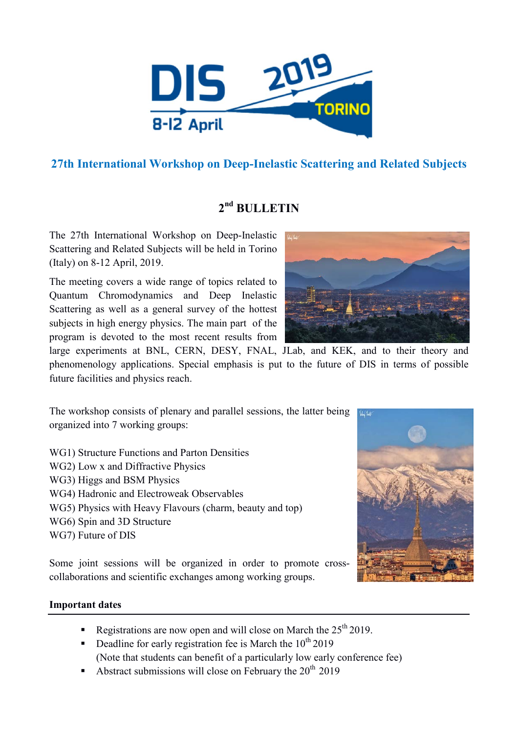

# **27th International Workshop on Deep-Inelastic Scattering and Related Subjects**

# **2nd BULLETIN**

The 27th International Workshop on Deep-Inelastic Scattering and Related Subjects will be held in Torino (Italy) on 8-12 April, 2019.

The meeting covers a wide range of topics related to Quantum Chromodynamics and Deep Inelastic Scattering as well as a general survey of the hottest subjects in high energy physics. The main part of the program is devoted to the most recent results from

large experiments at BNL, CERN, DESY, FNAL, JLab, and KEK, and to their theory and phenomenology applications. Special emphasis is put to the future of DIS in terms of possible future facilities and physics reach.

The workshop consists of plenary and parallel sessions, the latter being organized into 7 working groups:

WG1) Structure Functions and Parton Densities WG2) Low x and Diffractive Physics WG3) Higgs and BSM Physics WG4) Hadronic and Electroweak Observables WG5) Physics with Heavy Flavours (charm, beauty and top) WG6) Spin and 3D Structure WG7) Future of DIS

Some joint sessions will be organized in order to promote crosscollaborations and scientific exchanges among working groups.



## **Important dates**

- Registrations are now open and will close on March the  $25<sup>th</sup> 2019$ .
- Deadline for early registration fee is March the  $10^{th}$  2019 (Note that students can benefit of a particularly low early conference fee)
- Abstract submissions will close on February the  $20^{th}$  2019

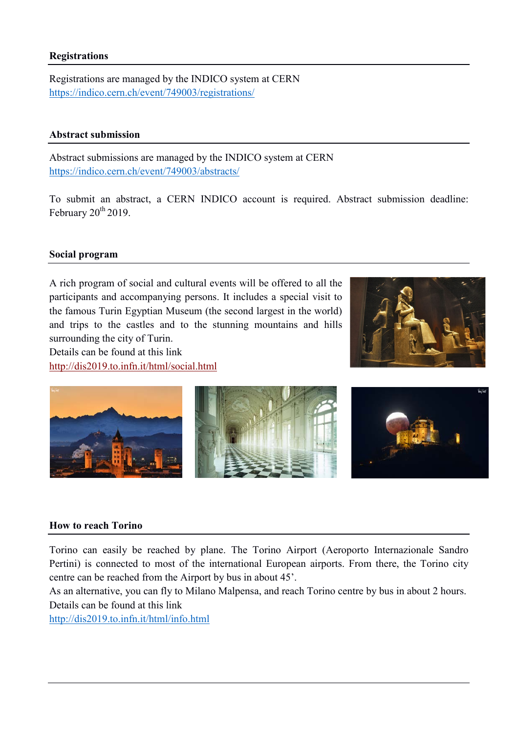### **Registrations**

Registrations are managed by the INDICO system at CERN https://indico.cern.ch/event/749003/registrations/

#### **Abstract submission**

Abstract submissions are managed by the INDICO system at CERN https://indico.cern.ch/event/749003/abstracts/

To submit an abstract, a CERN INDICO account is required. Abstract submission deadline: February  $20^{th}$  2019.

### **Social program**

A rich program of social and cultural events will be offered to all the participants and accompanying persons. It includes a special visit to the famous Turin Egyptian Museum (the second largest in the world) and trips to the castles and to the stunning mountains and hills surrounding the city of Turin.

Details can be found at this link http://dis2019.to.infn.it/html/social.html





#### **How to reach Torino**

Torino can easily be reached by plane. The Torino Airport (Aeroporto Internazionale Sandro Pertini) is connected to most of the international European airports. From there, the Torino city centre can be reached from the Airport by bus in about 45'.

As an alternative, you can fly to Milano Malpensa, and reach Torino centre by bus in about 2 hours. Details can be found at this link

http://dis2019.to.infn.it/html/info.html